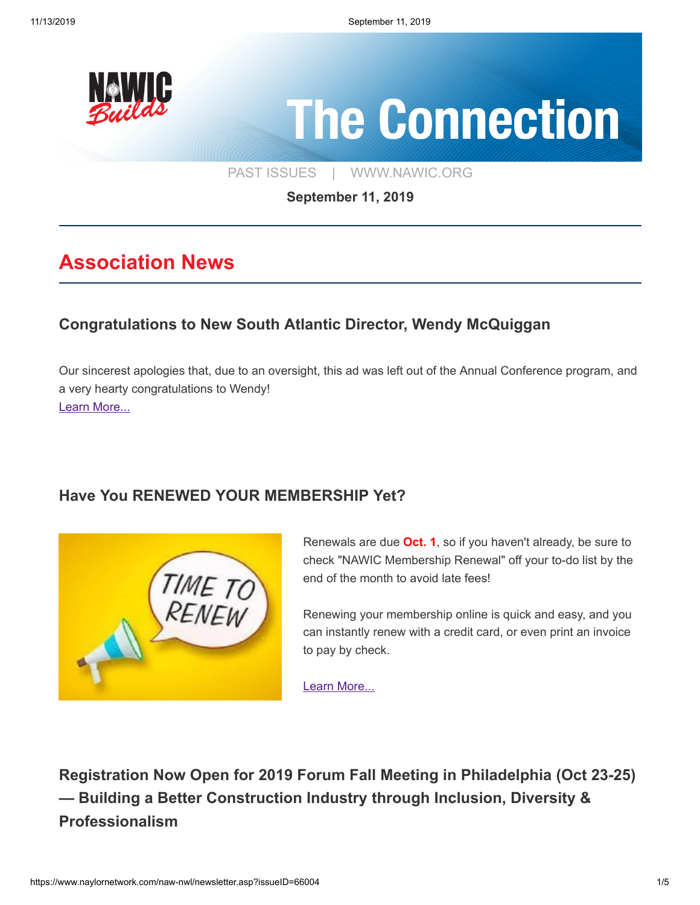

[PAST ISSUES](https://www.naylornetwork.com/naw-nwl/index.asp) | [WWW.NAWIC.ORG](https://www.nawic.org/nawic/default.asp)

**September 11, 2019**

# **Association News**

## **[Congratulations to New South Atlantic Director, Wendy McQuiggan](https://www.naylornetwork.com/naw-nwl/pdf/Congrats_Ad_for_AC.pdf)**

Our sincerest apologies that, due to an oversight, this ad was left out of the Annual Conference program, and a very hearty congratulations to Wendy! [Learn More...](https://www.naylornetwork.com/naw-nwl/pdf/Congrats_Ad_for_AC.pdf)

## **[Have You RENEWED YOUR MEMBERSHIP Yet?](https://www.naylornetwork.com/naw-nwl/articles/index.asp?aid=579511&issueID=66004)**



Renewals are due **Oct. 1**, so if you haven't already, be sure to check "NAWIC Membership Renewal" off your to-do list by the end of the month to avoid late fees!

Renewing your membership online is quick and easy, and you can instantly renew with a credit card, or even print an invoice to pay by check.

[Learn More...](https://www.naylornetwork.com/naw-nwl/articles/index.asp?aid=579511&issueID=66004)

**[Registration Now Open for 2019 Forum Fall Meeting in Philadelphia \(Oct 23-25\)](https://www.americanbar.org/events-cle/mtg/inperson/346163250/) — Building a Better Construction Industry through Inclusion, Diversity & Professionalism**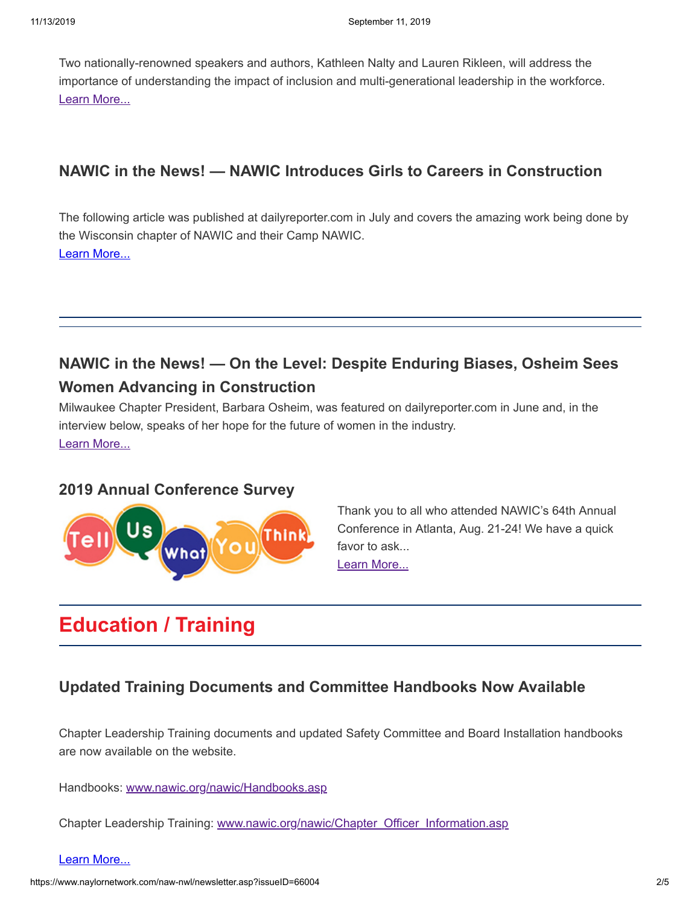Two nationally-renowned speakers and authors, Kathleen Nalty and Lauren Rikleen, will address the importance of understanding the impact of inclusion and multi-generational leadership in the workforce. [Learn More...](https://www.americanbar.org/events-cle/mtg/inperson/346163250/)

## **[NAWIC in the News! — NAWIC Introduces Girls to Careers in Construction](https://www.naylornetwork.com/naw-nwl/pdf/NAWIC_introduces_girls.pdf)**

The following article was published at dailyreporter.com in July and covers the amazing work being done by the Wisconsin chapter of NAWIC and their Camp NAWIC. [Learn More...](https://www.naylornetwork.com/naw-nwl/pdf/NAWIC_introduces_girls.pdf)

## **[NAWIC in the News! — On the Level: Despite Enduring Biases, Osheim Sees](https://www.naylornetwork.com/naw-nwl/pdf/ON_THE_LEVEL__Despite_enduring_biases,_Osheim_sees_woman_advancing_in_co....pdf) Women Advancing in Construction**

Milwaukee Chapter President, Barbara Osheim, was featured on dailyreporter.com in June and, in the interview below, speaks of her hope for the future of women in the industry. [Learn More...](https://www.naylornetwork.com/naw-nwl/pdf/ON_THE_LEVEL__Despite_enduring_biases,_Osheim_sees_woman_advancing_in_co....pdf)

### **[2019 Annual Conference Survey](https://www.naylornetwork.com/naw-nwl/articles/index.asp?aid=579513&issueID=66004)**



Thank you to all who attended NAWIC's 64th Annual Conference in Atlanta, Aug. 21-24! We have a quick favor to ask... [Learn More...](https://www.naylornetwork.com/naw-nwl/articles/index.asp?aid=579513&issueID=66004)

# **Education / Training**

## **[Updated Training Documents and Committee Handbooks Now Available](https://www.naylornetwork.com/naw-nwl/articles/index.asp?aid=579428&issueID=66004)**

Chapter Leadership Training documents and updated Safety Committee and Board Installation handbooks are now available on the website.

Handbooks: [www.nawic.org/nawic/Handbooks.asp](https://www.nawic.org/nawic/Handbooks.asp)

Chapter Leadership Training: [www.nawic.org/nawic/Chapter\\_Officer\\_Information.asp](https://www.nawic.org/nawic/Chapter_Officer_Information.asp)

#### [Learn More...](https://www.naylornetwork.com/naw-nwl/articles/index.asp?aid=579428&issueID=66004)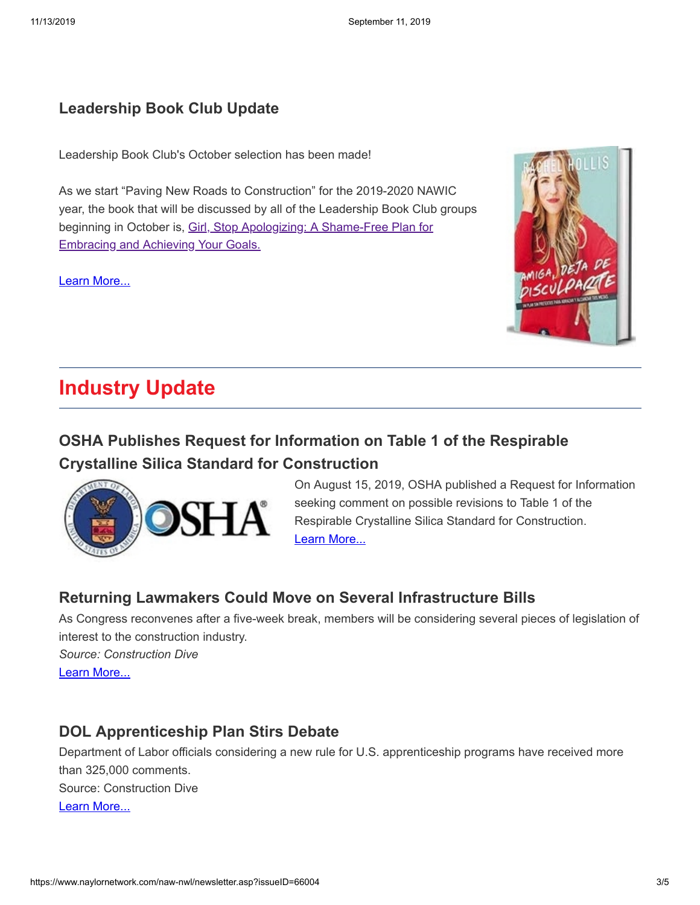### **[Leadership Book Club Update](https://www.naylornetwork.com/naw-nwl/articles/index.asp?aid=579434&issueID=66004)**

Leadership Book Club's October selection has been made!

As we start "Paving New Roads to Construction" for the 2019-2020 NAWIC year, the book that will be discussed by all of the Leadership Book Club groups [beginning in October is, Girl, Stop Apologizing: A Shame-Free Plan for](https://www.amazon.com/Girl-Stop-Apologizing-Shame-Free-Embracing/dp/1400209609) Embracing and Achieving Your Goals.

[Learn More...](https://www.naylornetwork.com/naw-nwl/articles/index.asp?aid=579434&issueID=66004)



## **Industry Update**

## **[OSHA Publishes Request for Information on Table 1 of the Respirable](https://www.naylornetwork.com/naw-nwl/articles/index.asp?aid=579512&issueID=66004) Crystalline Silica Standard for Construction**



On August 15, 2019, OSHA published a Request for Information seeking comment on possible revisions to Table 1 of the Respirable Crystalline Silica Standard for Construction. [Learn More...](https://www.naylornetwork.com/naw-nwl/articles/index.asp?aid=579512&issueID=66004)

## **[Returning Lawmakers Could Move on Several Infrastructure Bills](https://www.constructiondive.com/news/returning-lawmakers-could-move-on-several-infrastructure-bills-including/562508/)**

As Congress reconvenes after a five-week break, members will be considering several pieces of legislation of interest to the construction industry.

*Source: Construction Dive* [Learn More...](https://www.constructiondive.com/news/returning-lawmakers-could-move-on-several-infrastructure-bills-including/562508/)

## **[DOL Apprenticeship Plan Stirs Debate](https://www.constructiondive.com/news/dol-apprenticeship-plan-stirs-debate-among-contractors/562151/)**

Department of Labor officials considering a new rule for U.S. apprenticeship programs have received more than 325,000 comments. Source: Construction Dive [Learn More...](https://www.constructiondive.com/news/dol-apprenticeship-plan-stirs-debate-among-contractors/562151/)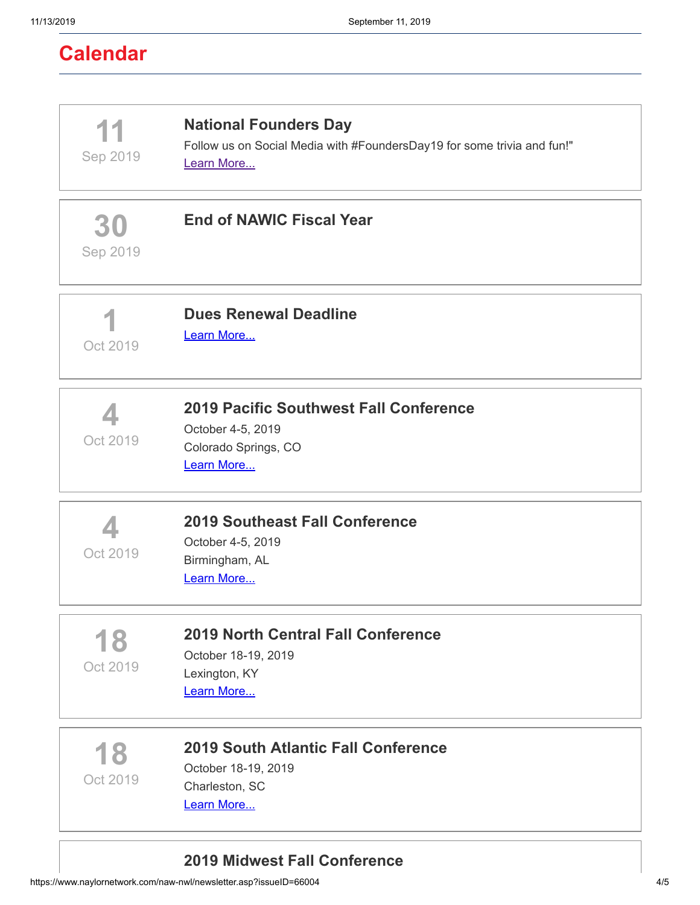| 11<br>Sep 2019 | <b>National Founders Day</b><br>Follow us on Social Media with #FoundersDay19 for some trivia and fun!"<br>Learn More |
|----------------|-----------------------------------------------------------------------------------------------------------------------|
| 30<br>Sep 2019 | <b>End of NAWIC Fiscal Year</b>                                                                                       |
| Oct 2019       | <b>Dues Renewal Deadline</b><br>Learn More                                                                            |
| Oct 2019       | <b>2019 Pacific Southwest Fall Conference</b><br>October 4-5, 2019<br>Colorado Springs, CO<br>Learn More              |
| Oct 2019       | <b>2019 Southeast Fall Conference</b><br>October 4-5, 2019<br>Birmingham, AL<br>Learn More                            |
| 18<br>Oct 2019 | <b>2019 North Central Fall Conference</b><br>October 18-19, 2019<br>Lexington, KY<br>Learn More                       |
| 18<br>Oct 2019 | <b>2019 South Atlantic Fall Conference</b><br>October 18-19, 2019<br>Charleston, SC<br>Learn More                     |

## **[2019 Midwest Fall Conference](https://www.nawicmidwestregion.org/2019-fall-conferencekc.html)**